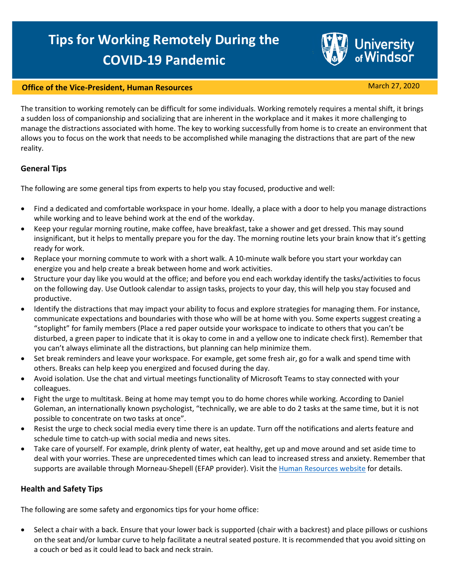# **Tips for Working Remotely During the COVID-19 Pandemic**

#### **Office of the Vice-President, Human Resources** March 27, 2020

**University**<br>of Windsor

The transition to working remotely can be difficult for some individuals. Working remotely requires a mental shift, it brings a sudden loss of companionship and socializing that are inherent in the workplace and it makes it more challenging to manage the distractions associated with home. The key to working successfully from home is to create an environment that allows you to focus on the work that needs to be accomplished while managing the distractions that are part of the new reality.

#### **General Tips**

The following are some general tips from experts to help you stay focused, productive and well:

- Find a dedicated and comfortable workspace in your home. Ideally, a place with a door to help you manage distractions while working and to leave behind work at the end of the workday.
- Keep your regular morning routine, make coffee, have breakfast, take a shower and get dressed. This may sound insignificant, but it helps to mentally prepare you for the day. The morning routine lets your brain know that it's getting ready for work.
- Replace your morning commute to work with a short walk. A 10-minute walk before you start your workday can energize you and help create a break between home and work activities.
- Structure your day like you would at the office; and before you end each workday identify the tasks/activities to focus on the following day. Use Outlook calendar to assign tasks, projects to your day, this will help you stay focused and productive.
- Identify the distractions that may impact your ability to focus and explore strategies for managing them. For instance, communicate expectations and boundaries with those who will be at home with you. Some experts suggest creating a "stoplight" for family members (Place a red paper outside your workspace to indicate to others that you can't be disturbed, a green paper to indicate that it is okay to come in and a yellow one to indicate check first). Remember that you can't always eliminate all the distractions, but planning can help minimize them.
- Set break reminders and leave your workspace. For example, get some fresh air, go for a walk and spend time with others. Breaks can help keep you energized and focused during the day.
- Avoid isolation. Use the chat and virtual meetings functionality of Microsoft Teams to stay connected with your colleagues.
- Fight the urge to multitask. Being at home may tempt you to do home chores while working. According to Daniel Goleman, an internationally known psychologist, "technically, we are able to do 2 tasks at the same time, but it is not possible to concentrate on two tasks at once".
- Resist the urge to check social media every time there is an update. Turn off the notifications and alerts feature and schedule time to catch-up with social media and news sites.
- Take care of yourself. For example, drink plenty of water, eat healthy, get up and move around and set aside time to deal with your worries. These are unprecedented times which can lead to increased stress and anxiety. Remember that supports are available through Morneau-Shepell (EFAP provider). Visit th[e Human Resources website](http://www1.uwindsor.ca/hr/wellness) for details.

### **Health and Safety Tips**

The following are some safety and ergonomics tips for your home office:

• Select a chair with a back. Ensure that your lower back is supported (chair with a backrest) and place pillows or cushions on the seat and/or lumbar curve to help facilitate a neutral seated posture. It is recommended that you avoid sitting on a couch or bed as it could lead to back and neck strain.